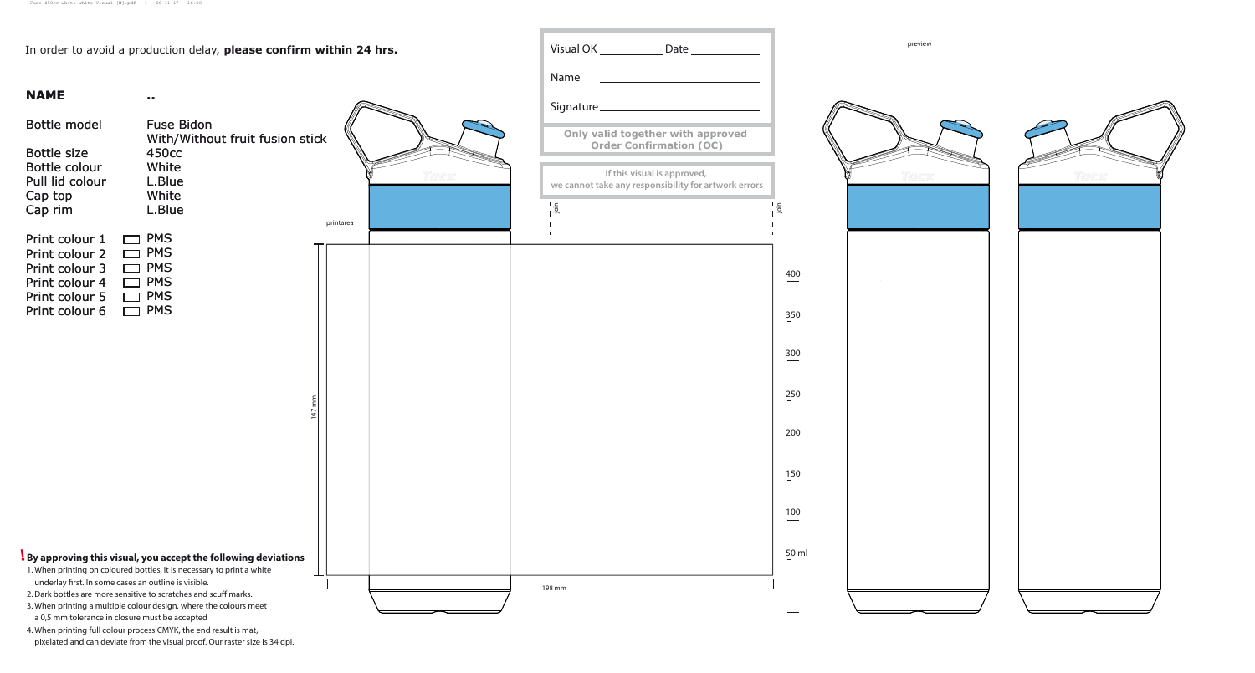|                                                                                                          | In order to avoid a production delay, please confirm within 24 hrs.                                                                                                                                                                                                                                                                                                                                                                  | Date                                                                                                                                                         |
|----------------------------------------------------------------------------------------------------------|--------------------------------------------------------------------------------------------------------------------------------------------------------------------------------------------------------------------------------------------------------------------------------------------------------------------------------------------------------------------------------------------------------------------------------------|--------------------------------------------------------------------------------------------------------------------------------------------------------------|
|                                                                                                          |                                                                                                                                                                                                                                                                                                                                                                                                                                      | Name                                                                                                                                                         |
| <b>NAME</b>                                                                                              | ■■                                                                                                                                                                                                                                                                                                                                                                                                                                   | Signature_                                                                                                                                                   |
| Bottle model<br><b>Bottle size</b><br>Bottle colour<br>Pull lid colour<br>Cap top<br>Cap rim             | <b>Fuse Bidon</b><br>With/Without fruit fusion stick<br>450 <sub>cc</sub><br>White<br>L.Blue<br>White<br>L.Blue<br>printarea                                                                                                                                                                                                                                                                                                         | Only valid together with appre<br><b>Order Confirmation (OC)</b><br>If this visual is approved,<br>we cannot take any responsibility for artw<br>$rac{1}{2}$ |
| Print colour 1<br>Print colour 2<br>Print colour 3<br>Print colour 4<br>Print colour 5<br>Print colour 6 | <b>PMS</b><br><b>PMS</b><br><b>PMS</b><br><b>PMS</b><br><b>PMS</b><br><b>PMS</b>                                                                                                                                                                                                                                                                                                                                                     |                                                                                                                                                              |
|                                                                                                          | εı<br>$\ddot{t}$                                                                                                                                                                                                                                                                                                                                                                                                                     |                                                                                                                                                              |
| underlay first. In some cases an outline is visible.<br>a 0,5 mm tolerance in closure must be accepted   | By approving this visual, you accept the following deviations<br>1. When printing on coloured bottles, it is necessary to print a white<br>2. Dark bottles are more sensitive to scratches and scuff marks.<br>3. When printing a multiple colour design, where the colours meet<br>4. When printing full colour process CMYK, the end result is mat,<br>pixelated and can deviate from the visual proof. Our raster size is 34 dpi. | 198 mm                                                                                                                                                       |

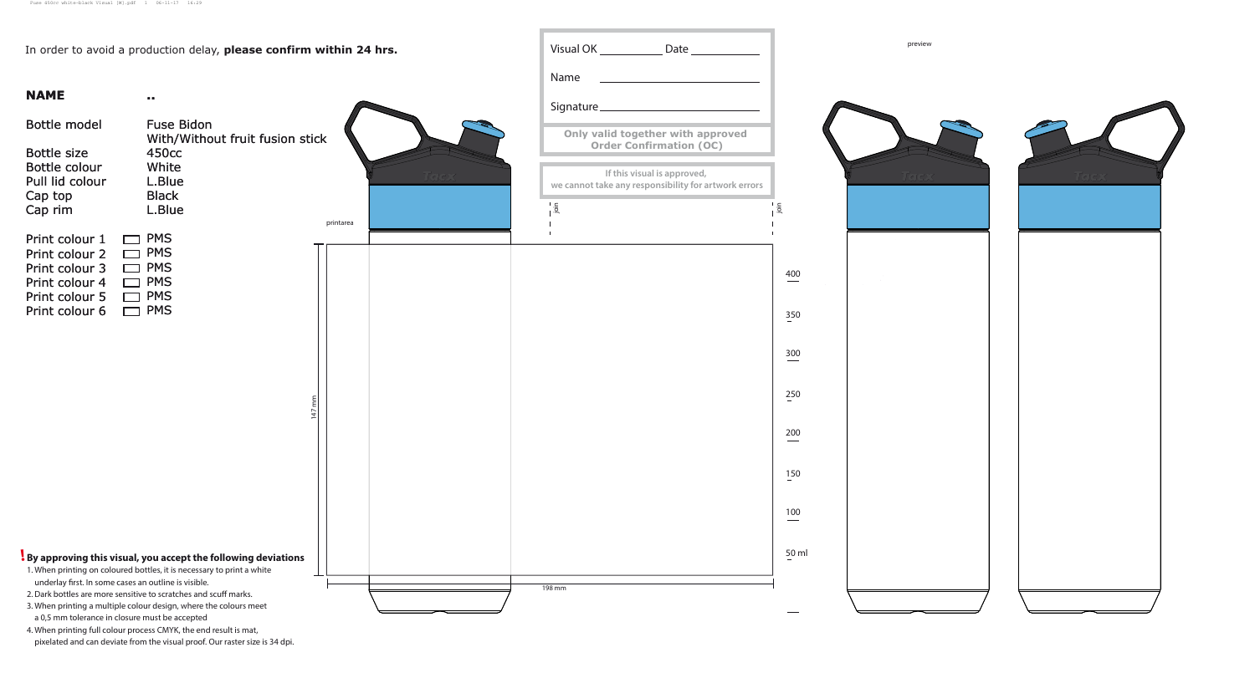|                                                                                                          | In order to avoid a production delay, please confirm within 24 hrs.                                                                                                                                                                                                                       |                        |       |               | Date_                                                                                           |
|----------------------------------------------------------------------------------------------------------|-------------------------------------------------------------------------------------------------------------------------------------------------------------------------------------------------------------------------------------------------------------------------------------------|------------------------|-------|---------------|-------------------------------------------------------------------------------------------------|
|                                                                                                          |                                                                                                                                                                                                                                                                                           |                        |       | Name          |                                                                                                 |
| <b>NAME</b>                                                                                              | $\mathbf{0}$ .                                                                                                                                                                                                                                                                            |                        |       | Signature_    |                                                                                                 |
| Bottle model<br><b>Bottle size</b><br>Bottle colour<br>Pull lid colour                                   | <b>Fuse Bidon</b><br>With/Without fruit fusion stick<br>450 <sub>cc</sub><br>White<br>L.Blue                                                                                                                                                                                              |                        | Totex |               | Only valid together with appre<br><b>Order Confirmation (OC)</b><br>If this visual is approved, |
| Cap top<br>Cap rim                                                                                       | <b>Black</b><br>L.Blue                                                                                                                                                                                                                                                                    | printarea              |       | $\frac{1}{2}$ | we cannot take any responsibility for artw                                                      |
| Print colour 1<br>Print colour 2<br>Print colour 3<br>Print colour 4<br>Print colour 5<br>Print colour 6 | <b>PMS</b><br><b>PMS</b><br><b>PMS</b><br><b>PMS</b><br><b>PMS</b><br><b>PMS</b>                                                                                                                                                                                                          | $\sum_{i=1}^{n}$<br>47 |       |               |                                                                                                 |
|                                                                                                          | By approving this visual, you accept the following deviations<br>1. When printing on coloured bottles, it is necessary to print a white                                                                                                                                                   |                        |       |               |                                                                                                 |
| underlay first. In some cases an outline is visible.<br>a 0,5 mm tolerance in closure must be accepted   | 2. Dark bottles are more sensitive to scratches and scuff marks.<br>3. When printing a multiple colour design, where the colours meet<br>4. When printing full colour process CMYK, the end result is mat,<br>pixelated and can deviate from the visual proof. Our raster size is 34 dpi. |                        |       | 198 mm        |                                                                                                 |

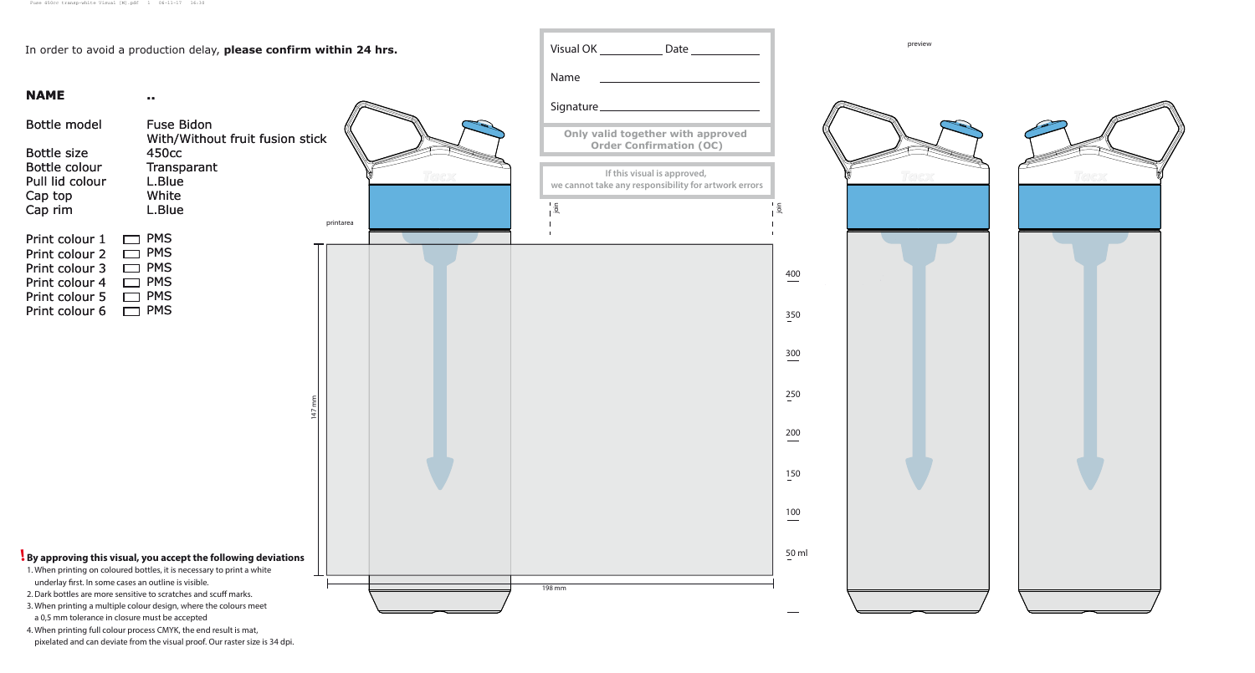|                                                                                                          | In order to avoid a production delay, please confirm within 24 hrs.                                                                                                                                                                                                                                                                                   | Date                                                                                                        |
|----------------------------------------------------------------------------------------------------------|-------------------------------------------------------------------------------------------------------------------------------------------------------------------------------------------------------------------------------------------------------------------------------------------------------------------------------------------------------|-------------------------------------------------------------------------------------------------------------|
|                                                                                                          |                                                                                                                                                                                                                                                                                                                                                       | Name                                                                                                        |
| <b>NAME</b>                                                                                              | $\mathbf{0}$ .                                                                                                                                                                                                                                                                                                                                        | Signature_                                                                                                  |
| <b>Bottle model</b>                                                                                      | <b>Fuse Bidon</b><br>With/Without fruit fusion stick                                                                                                                                                                                                                                                                                                  | Only valid together with appre                                                                              |
| <b>Bottle size</b><br>Bottle colour<br>Pull lid colour<br>Cap top                                        | 450 <sub>cc</sub><br>Transparant<br>L.Blue<br>White                                                                                                                                                                                                                                                                                                   | <b>Order Confirmation (OC)</b><br>If this visual is approved,<br>we cannot take any responsibility for artw |
| Cap rim                                                                                                  | L.Blue<br>printarea                                                                                                                                                                                                                                                                                                                                   | $\frac{1}{2}$                                                                                               |
| Print colour 1<br>Print colour 2<br>Print colour 3<br>Print colour 4<br>Print colour 5<br>Print colour 6 | <b>PMS</b><br><b>PMS</b><br><b>PMS</b><br><b>PMS</b><br><b>PMS</b><br><b>PMS</b><br>ε١<br>ε<br>$\overline{\phantom{0}}$                                                                                                                                                                                                                               |                                                                                                             |
| underlay first. In some cases an outline is visible.<br>a 0,5 mm tolerance in closure must be accepted   | By approving this visual, you accept the following deviations<br>1. When printing on coloured bottles, it is necessary to print a white<br>2. Dark bottles are more sensitive to scratches and scuff marks.<br>3. When printing a multiple colour design, where the colours meet<br>4. When printing full colour process CMYK, the end result is mat, | 198 mm                                                                                                      |



pixelated and can deviate from the visual proof. Our raster size is 34 dpi.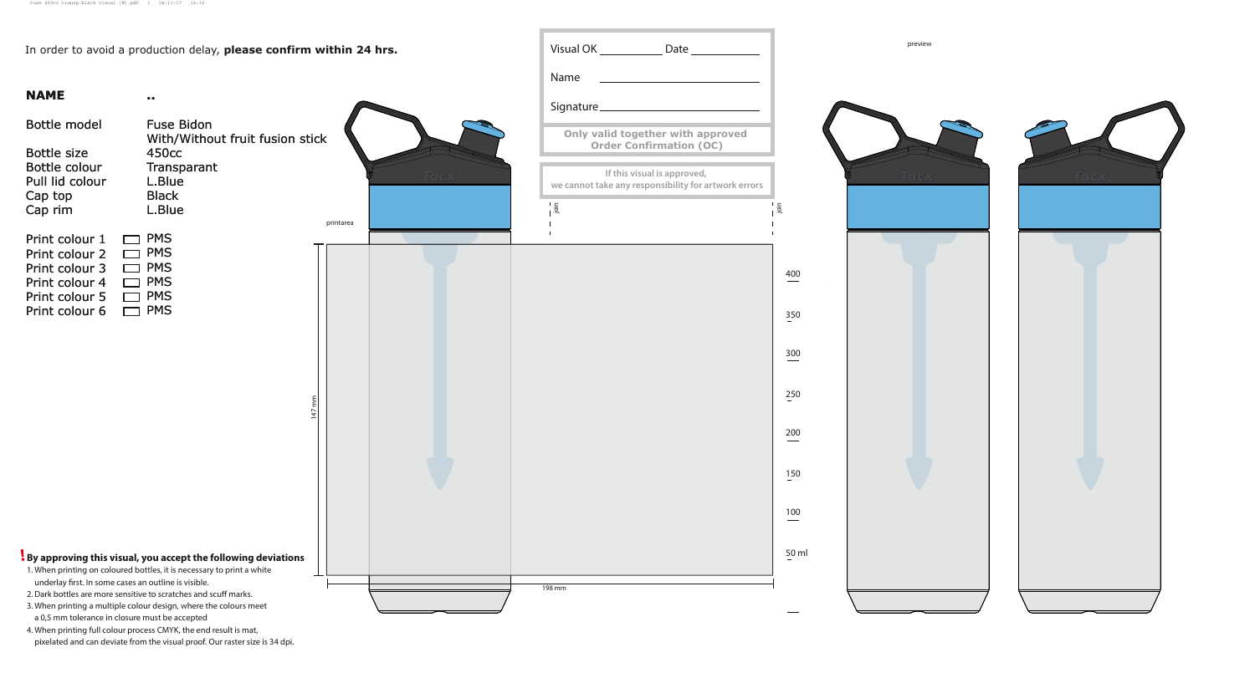|                                                                                                                                                                            | In order to avoid a production delay, please confirm within 24 hrs.                                                                                                                                                                                                                                                                                              |             |       |               | Date _______                                                                                                |
|----------------------------------------------------------------------------------------------------------------------------------------------------------------------------|------------------------------------------------------------------------------------------------------------------------------------------------------------------------------------------------------------------------------------------------------------------------------------------------------------------------------------------------------------------|-------------|-------|---------------|-------------------------------------------------------------------------------------------------------------|
|                                                                                                                                                                            |                                                                                                                                                                                                                                                                                                                                                                  |             |       | Name          |                                                                                                             |
| <b>NAME</b>                                                                                                                                                                | $\mathbf{0}$ .                                                                                                                                                                                                                                                                                                                                                   |             |       | Signature_    |                                                                                                             |
| Bottle model                                                                                                                                                               | <b>Fuse Bidon</b><br>With/Without fruit fusion stick                                                                                                                                                                                                                                                                                                             |             |       |               | Only valid together with appre                                                                              |
| <b>Bottle size</b><br>Bottle colour<br>Pull lid colour<br>Cap top<br>Cap rim                                                                                               | 450 <sub>cc</sub><br>Transparant<br>L.Blue<br><b>Black</b><br>L.Blue                                                                                                                                                                                                                                                                                             | printarea   | Totax | $\frac{1}{9}$ | <b>Order Confirmation (OC)</b><br>If this visual is approved,<br>we cannot take any responsibility for artw |
| Print colour 1<br>Print colour 2<br>Print colour 3<br>Print colour 4<br>Print colour 5<br>Print colour 6                                                                   | <b>PMS</b><br><b>PMS</b><br><b>PMS</b><br><b>PMS</b><br><b>PMS</b><br><b>PMS</b>                                                                                                                                                                                                                                                                                 | $\Xi$<br>47 |       |               |                                                                                                             |
| underlay first. In some cases an outline is visible.<br>2. Dark bottles are more sensitive to scratches and scuff marks.<br>a 0,5 mm tolerance in closure must be accepted | By approving this visual, you accept the following deviations<br>1. When printing on coloured bottles, it is necessary to print a white<br>3. When printing a multiple colour design, where the colours meet<br>4. When printing full colour process CMYK, the end result is mat,<br>pixelated and can deviate from the visual proof. Our raster size is 34 dpi. |             |       | 198 mm        |                                                                                                             |

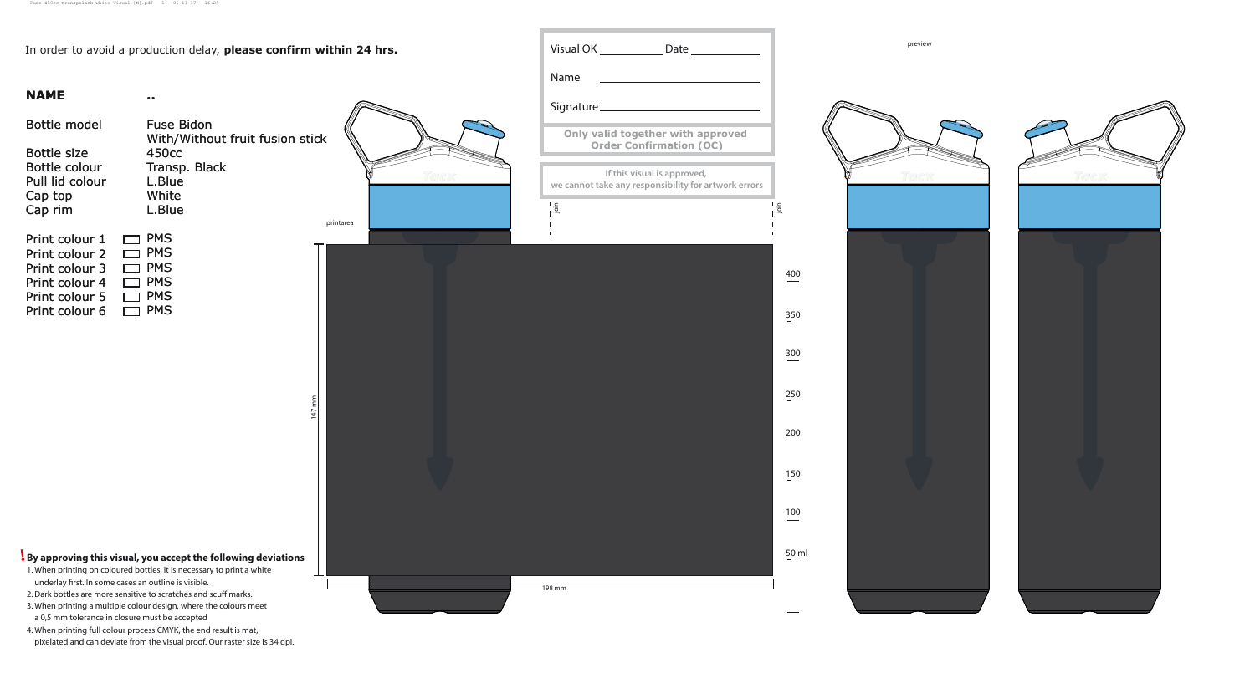| In order to avoid a production delay, please confirm within 24 hrs.                                                                                                                                                                                                                                                                                                                                                                                                                                                                            |                                 | Date ______                                                                                                                    |
|------------------------------------------------------------------------------------------------------------------------------------------------------------------------------------------------------------------------------------------------------------------------------------------------------------------------------------------------------------------------------------------------------------------------------------------------------------------------------------------------------------------------------------------------|---------------------------------|--------------------------------------------------------------------------------------------------------------------------------|
|                                                                                                                                                                                                                                                                                                                                                                                                                                                                                                                                                |                                 | Name                                                                                                                           |
| <b>NAME</b><br>$\sim 10$                                                                                                                                                                                                                                                                                                                                                                                                                                                                                                                       |                                 | Signature <sub>________________</sub>                                                                                          |
| Bottle model<br><b>Fuse Bidon</b>                                                                                                                                                                                                                                                                                                                                                                                                                                                                                                              | With/Without fruit fusion stick | Only valid together with appre                                                                                                 |
| <b>Bottle size</b><br>450 <sub>cc</sub><br>Bottle colour<br>Transp. Black<br>Pull lid colour<br>L.Blue<br>White<br>Cap top<br>L.Blue<br>Cap rim                                                                                                                                                                                                                                                                                                                                                                                                | printarea                       | <b>Order Confirmation (OC)</b><br>If this visual is approved,<br>we cannot take any responsibility for artw<br>$\frac{1}{2}$ . |
| <b>PMS</b><br>Print colour 1<br><b>PMS</b><br>Print colour 2<br><b>PMS</b><br>Print colour 3<br><b>PMS</b><br>Print colour 4<br><b>PMS</b><br>Print colour 5<br><b>PMS</b><br>Print colour 6                                                                                                                                                                                                                                                                                                                                                   | $\frac{1}{2}$<br>47             |                                                                                                                                |
| By approving this visual, you accept the following deviations<br>1. When printing on coloured bottles, it is necessary to print a white<br>underlay first. In some cases an outline is visible.<br>2. Dark bottles are more sensitive to scratches and scuff marks.<br>3. When printing a multiple colour design, where the colours meet<br>a 0,5 mm tolerance in closure must be accepted<br>4. When printing full colour process CMYK, the end result is mat,<br>pixelated and can deviate from the visual proof. Our raster size is 34 dpi. |                                 | 198 mm                                                                                                                         |



 $\hspace{0.05cm}$